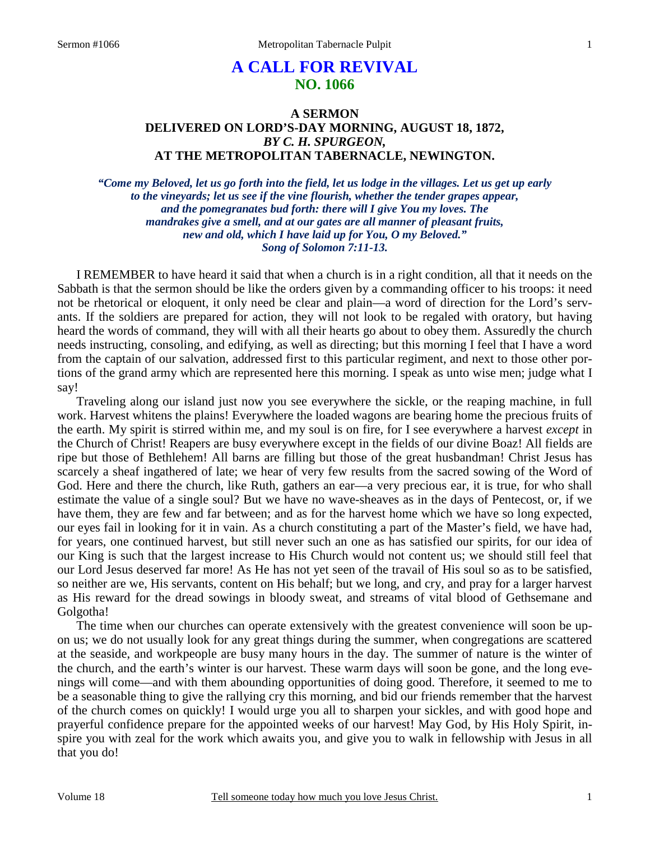# **A CALL FOR REVIVAL NO. 1066**

## **A SERMON DELIVERED ON LORD'S-DAY MORNING, AUGUST 18, 1872,**  *BY C. H. SPURGEON,*  **AT THE METROPOLITAN TABERNACLE, NEWINGTON.**

*"Come my Beloved, let us go forth into the field, let us lodge in the villages. Let us get up early to the vineyards; let us see if the vine flourish, whether the tender grapes appear, and the pomegranates bud forth: there will I give You my loves. The mandrakes give a smell, and at our gates are all manner of pleasant fruits, new and old, which I have laid up for You, O my Beloved." Song of Solomon 7:11-13.* 

I REMEMBER to have heard it said that when a church is in a right condition, all that it needs on the Sabbath is that the sermon should be like the orders given by a commanding officer to his troops: it need not be rhetorical or eloquent, it only need be clear and plain—a word of direction for the Lord's servants. If the soldiers are prepared for action, they will not look to be regaled with oratory, but having heard the words of command, they will with all their hearts go about to obey them. Assuredly the church needs instructing, consoling, and edifying, as well as directing; but this morning I feel that I have a word from the captain of our salvation, addressed first to this particular regiment, and next to those other portions of the grand army which are represented here this morning. I speak as unto wise men; judge what I say!

Traveling along our island just now you see everywhere the sickle, or the reaping machine, in full work. Harvest whitens the plains! Everywhere the loaded wagons are bearing home the precious fruits of the earth. My spirit is stirred within me, and my soul is on fire, for I see everywhere a harvest *except* in the Church of Christ! Reapers are busy everywhere except in the fields of our divine Boaz! All fields are ripe but those of Bethlehem! All barns are filling but those of the great husbandman! Christ Jesus has scarcely a sheaf ingathered of late; we hear of very few results from the sacred sowing of the Word of God. Here and there the church, like Ruth, gathers an ear—a very precious ear, it is true, for who shall estimate the value of a single soul? But we have no wave-sheaves as in the days of Pentecost, or, if we have them, they are few and far between; and as for the harvest home which we have so long expected, our eyes fail in looking for it in vain. As a church constituting a part of the Master's field, we have had, for years, one continued harvest, but still never such an one as has satisfied our spirits, for our idea of our King is such that the largest increase to His Church would not content us; we should still feel that our Lord Jesus deserved far more! As He has not yet seen of the travail of His soul so as to be satisfied, so neither are we, His servants, content on His behalf; but we long, and cry, and pray for a larger harvest as His reward for the dread sowings in bloody sweat, and streams of vital blood of Gethsemane and Golgotha!

The time when our churches can operate extensively with the greatest convenience will soon be upon us; we do not usually look for any great things during the summer, when congregations are scattered at the seaside, and workpeople are busy many hours in the day. The summer of nature is the winter of the church, and the earth's winter is our harvest. These warm days will soon be gone, and the long evenings will come—and with them abounding opportunities of doing good. Therefore, it seemed to me to be a seasonable thing to give the rallying cry this morning, and bid our friends remember that the harvest of the church comes on quickly! I would urge you all to sharpen your sickles, and with good hope and prayerful confidence prepare for the appointed weeks of our harvest! May God, by His Holy Spirit, inspire you with zeal for the work which awaits you, and give you to walk in fellowship with Jesus in all that you do!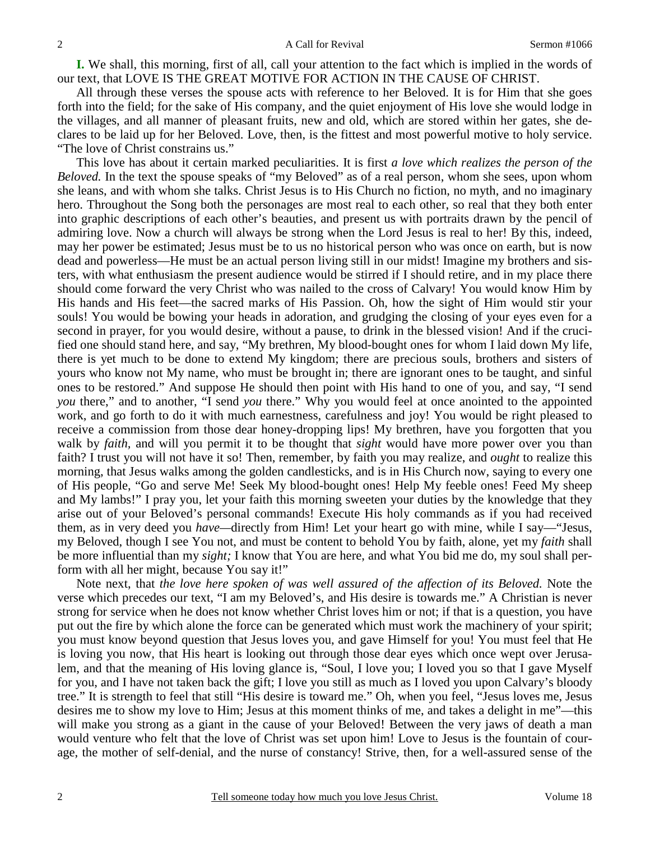**I.** We shall, this morning, first of all, call your attention to the fact which is implied in the words of our text, that LOVE IS THE GREAT MOTIVE FOR ACTION IN THE CAUSE OF CHRIST.

All through these verses the spouse acts with reference to her Beloved. It is for Him that she goes forth into the field; for the sake of His company, and the quiet enjoyment of His love she would lodge in the villages, and all manner of pleasant fruits, new and old, which are stored within her gates, she declares to be laid up for her Beloved. Love, then, is the fittest and most powerful motive to holy service. "The love of Christ constrains us."

This love has about it certain marked peculiarities. It is first *a love which realizes the person of the Beloved.* In the text the spouse speaks of "my Beloved" as of a real person, whom she sees, upon whom she leans, and with whom she talks. Christ Jesus is to His Church no fiction, no myth, and no imaginary hero. Throughout the Song both the personages are most real to each other, so real that they both enter into graphic descriptions of each other's beauties, and present us with portraits drawn by the pencil of admiring love. Now a church will always be strong when the Lord Jesus is real to her! By this, indeed, may her power be estimated; Jesus must be to us no historical person who was once on earth, but is now dead and powerless—He must be an actual person living still in our midst! Imagine my brothers and sisters, with what enthusiasm the present audience would be stirred if I should retire, and in my place there should come forward the very Christ who was nailed to the cross of Calvary! You would know Him by His hands and His feet—the sacred marks of His Passion. Oh, how the sight of Him would stir your souls! You would be bowing your heads in adoration, and grudging the closing of your eyes even for a second in prayer, for you would desire, without a pause, to drink in the blessed vision! And if the crucified one should stand here, and say, "My brethren, My blood-bought ones for whom I laid down My life, there is yet much to be done to extend My kingdom; there are precious souls, brothers and sisters of yours who know not My name, who must be brought in; there are ignorant ones to be taught, and sinful ones to be restored." And suppose He should then point with His hand to one of you, and say, "I send *you* there," and to another, "I send *you* there." Why you would feel at once anointed to the appointed work, and go forth to do it with much earnestness, carefulness and joy! You would be right pleased to receive a commission from those dear honey-dropping lips! My brethren, have you forgotten that you walk by *faith,* and will you permit it to be thought that *sight* would have more power over you than faith? I trust you will not have it so! Then, remember, by faith you may realize, and *ought* to realize this morning, that Jesus walks among the golden candlesticks, and is in His Church now, saying to every one of His people, "Go and serve Me! Seek My blood-bought ones! Help My feeble ones! Feed My sheep and My lambs!" I pray you, let your faith this morning sweeten your duties by the knowledge that they arise out of your Beloved's personal commands! Execute His holy commands as if you had received them, as in very deed you *have—*directly from Him! Let your heart go with mine, while I say—"Jesus, my Beloved, though I see You not, and must be content to behold You by faith, alone, yet my *faith* shall be more influential than my *sight;* I know that You are here, and what You bid me do, my soul shall perform with all her might, because You say it!"

Note next, that *the love here spoken of was well assured of the affection of its Beloved.* Note the verse which precedes our text, "I am my Beloved's, and His desire is towards me." A Christian is never strong for service when he does not know whether Christ loves him or not; if that is a question, you have put out the fire by which alone the force can be generated which must work the machinery of your spirit; you must know beyond question that Jesus loves you, and gave Himself for you! You must feel that He is loving you now, that His heart is looking out through those dear eyes which once wept over Jerusalem, and that the meaning of His loving glance is, "Soul, I love you; I loved you so that I gave Myself for you, and I have not taken back the gift; I love you still as much as I loved you upon Calvary's bloody tree." It is strength to feel that still "His desire is toward me." Oh, when you feel, "Jesus loves me, Jesus desires me to show my love to Him; Jesus at this moment thinks of me, and takes a delight in me"—this will make you strong as a giant in the cause of your Beloved! Between the very jaws of death a man would venture who felt that the love of Christ was set upon him! Love to Jesus is the fountain of courage, the mother of self-denial, and the nurse of constancy! Strive, then, for a well-assured sense of the

2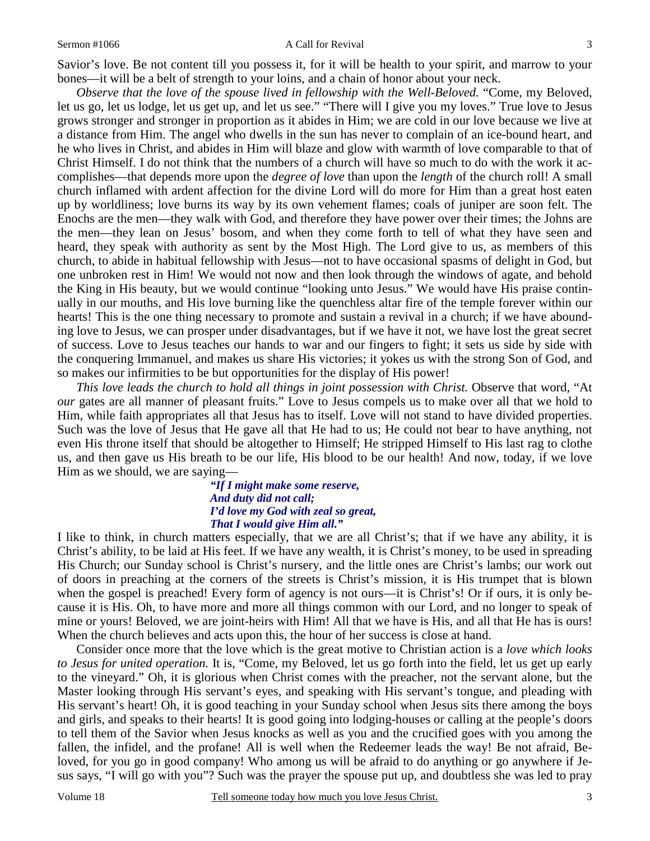#### Sermon #1066 A Call for Revival

Savior's love. Be not content till you possess it, for it will be health to your spirit, and marrow to your bones—it will be a belt of strength to your loins, and a chain of honor about your neck.

*Observe that the love of the spouse lived in fellowship with the Well-Beloved.* "Come, my Beloved, let us go, let us lodge, let us get up, and let us see." "There will I give you my loves." True love to Jesus grows stronger and stronger in proportion as it abides in Him; we are cold in our love because we live at a distance from Him. The angel who dwells in the sun has never to complain of an ice-bound heart, and he who lives in Christ, and abides in Him will blaze and glow with warmth of love comparable to that of Christ Himself. I do not think that the numbers of a church will have so much to do with the work it accomplishes—that depends more upon the *degree of love* than upon the *length* of the church roll! A small church inflamed with ardent affection for the divine Lord will do more for Him than a great host eaten up by worldliness; love burns its way by its own vehement flames; coals of juniper are soon felt. The Enochs are the men—they walk with God, and therefore they have power over their times; the Johns are the men—they lean on Jesus' bosom, and when they come forth to tell of what they have seen and heard, they speak with authority as sent by the Most High. The Lord give to us, as members of this church, to abide in habitual fellowship with Jesus—not to have occasional spasms of delight in God, but one unbroken rest in Him! We would not now and then look through the windows of agate, and behold the King in His beauty, but we would continue "looking unto Jesus." We would have His praise continually in our mouths, and His love burning like the quenchless altar fire of the temple forever within our hearts! This is the one thing necessary to promote and sustain a revival in a church; if we have abounding love to Jesus, we can prosper under disadvantages, but if we have it not, we have lost the great secret of success. Love to Jesus teaches our hands to war and our fingers to fight; it sets us side by side with the conquering Immanuel, and makes us share His victories; it yokes us with the strong Son of God, and so makes our infirmities to be but opportunities for the display of His power!

*This love leads the church to hold all things in joint possession with Christ.* Observe that word, "At *our* gates are all manner of pleasant fruits." Love to Jesus compels us to make over all that we hold to Him, while faith appropriates all that Jesus has to itself. Love will not stand to have divided properties. Such was the love of Jesus that He gave all that He had to us; He could not bear to have anything, not even His throne itself that should be altogether to Himself; He stripped Himself to His last rag to clothe us, and then gave us His breath to be our life, His blood to be our health! And now, today, if we love Him as we should, we are saying—

> *"If I might make some reserve, And duty did not call; I'd love my God with zeal so great, That I would give Him all."*

I like to think, in church matters especially, that we are all Christ's; that if we have any ability, it is Christ's ability, to be laid at His feet. If we have any wealth, it is Christ's money, to be used in spreading His Church; our Sunday school is Christ's nursery, and the little ones are Christ's lambs; our work out of doors in preaching at the corners of the streets is Christ's mission, it is His trumpet that is blown when the gospel is preached! Every form of agency is not ours—it is Christ's! Or if ours, it is only because it is His. Oh, to have more and more all things common with our Lord, and no longer to speak of mine or yours! Beloved, we are joint-heirs with Him! All that we have is His, and all that He has is ours! When the church believes and acts upon this, the hour of her success is close at hand.

Consider once more that the love which is the great motive to Christian action is a *love which looks to Jesus for united operation.* It is, "Come, my Beloved, let us go forth into the field, let us get up early to the vineyard." Oh, it is glorious when Christ comes with the preacher, not the servant alone, but the Master looking through His servant's eyes, and speaking with His servant's tongue, and pleading with His servant's heart! Oh, it is good teaching in your Sunday school when Jesus sits there among the boys and girls, and speaks to their hearts! It is good going into lodging-houses or calling at the people's doors to tell them of the Savior when Jesus knocks as well as you and the crucified goes with you among the fallen, the infidel, and the profane! All is well when the Redeemer leads the way! Be not afraid, Beloved, for you go in good company! Who among us will be afraid to do anything or go anywhere if Jesus says, "I will go with you"? Such was the prayer the spouse put up, and doubtless she was led to pray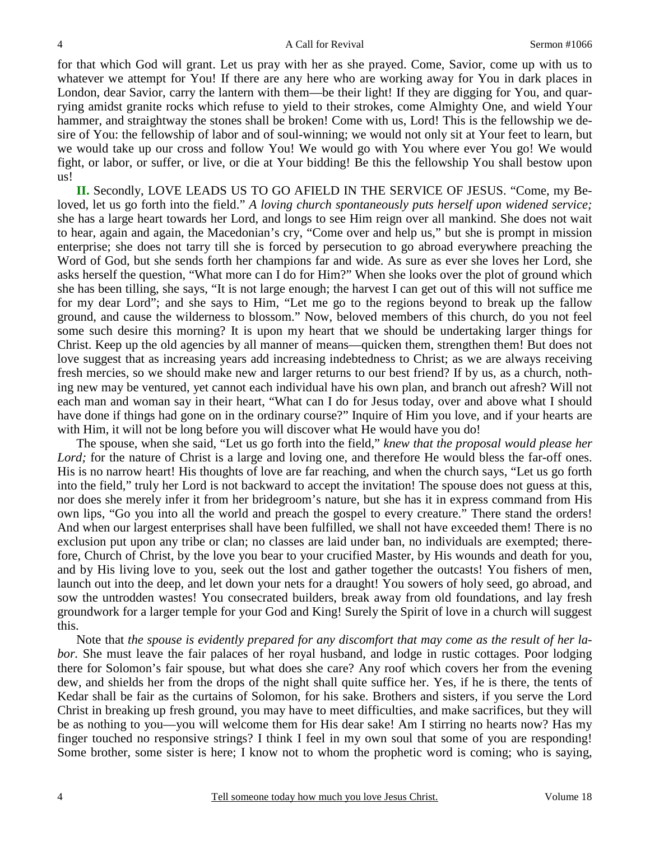for that which God will grant. Let us pray with her as she prayed. Come, Savior, come up with us to whatever we attempt for You! If there are any here who are working away for You in dark places in London, dear Savior, carry the lantern with them—be their light! If they are digging for You, and quarrying amidst granite rocks which refuse to yield to their strokes, come Almighty One, and wield Your hammer, and straightway the stones shall be broken! Come with us, Lord! This is the fellowship we desire of You: the fellowship of labor and of soul-winning; we would not only sit at Your feet to learn, but we would take up our cross and follow You! We would go with You where ever You go! We would fight, or labor, or suffer, or live, or die at Your bidding! Be this the fellowship You shall bestow upon us!

**II.** Secondly, LOVE LEADS US TO GO AFIELD IN THE SERVICE OF JESUS. "Come, my Beloved, let us go forth into the field." A loving church spontaneously puts herself upon widened service; she has a large heart towards her Lord, and longs to see Him reign over all mankind. She does not wait to hear, again and again, the Macedonian's cry, "Come over and help us," but she is prompt in mission enterprise; she does not tarry till she is forced by persecution to go abroad everywhere preaching the Word of God, but she sends forth her champions far and wide. As sure as ever she loves her Lord, she asks herself the question, "What more can I do for Him?" When she looks over the plot of ground which she has been tilling, she says, "It is not large enough; the harvest I can get out of this will not suffice me for my dear Lord"; and she says to Him, "Let me go to the regions beyond to break up the fallow ground, and cause the wilderness to blossom." Now, beloved members of this church, do you not feel some such desire this morning? It is upon my heart that we should be undertaking larger things for Christ. Keep up the old agencies by all manner of means—quicken them, strengthen them! But does not love suggest that as increasing years add increasing indebtedness to Christ; as we are always receiving fresh mercies, so we should make new and larger returns to our best friend? If by us, as a church, nothing new may be ventured, yet cannot each individual have his own plan, and branch out afresh? Will not each man and woman say in their heart, "What can I do for Jesus today, over and above what I should have done if things had gone on in the ordinary course?" Inquire of Him you love, and if your hearts are with Him, it will not be long before you will discover what He would have you do!

The spouse, when she said, "Let us go forth into the field," *knew that the proposal would please her*  Lord; for the nature of Christ is a large and loving one, and therefore He would bless the far-off ones. His is no narrow heart! His thoughts of love are far reaching, and when the church says, "Let us go forth into the field," truly her Lord is not backward to accept the invitation! The spouse does not guess at this, nor does she merely infer it from her bridegroom's nature, but she has it in express command from His own lips, "Go you into all the world and preach the gospel to every creature." There stand the orders! And when our largest enterprises shall have been fulfilled, we shall not have exceeded them! There is no exclusion put upon any tribe or clan; no classes are laid under ban, no individuals are exempted; therefore, Church of Christ, by the love you bear to your crucified Master, by His wounds and death for you, and by His living love to you, seek out the lost and gather together the outcasts! You fishers of men, launch out into the deep, and let down your nets for a draught! You sowers of holy seed, go abroad, and sow the untrodden wastes! You consecrated builders, break away from old foundations, and lay fresh groundwork for a larger temple for your God and King! Surely the Spirit of love in a church will suggest this.

Note that *the spouse is evidently prepared for any discomfort that may come as the result of her labor.* She must leave the fair palaces of her royal husband, and lodge in rustic cottages. Poor lodging there for Solomon's fair spouse, but what does she care? Any roof which covers her from the evening dew, and shields her from the drops of the night shall quite suffice her. Yes, if he is there, the tents of Kedar shall be fair as the curtains of Solomon, for his sake. Brothers and sisters, if you serve the Lord Christ in breaking up fresh ground, you may have to meet difficulties, and make sacrifices, but they will be as nothing to you—you will welcome them for His dear sake! Am I stirring no hearts now? Has my finger touched no responsive strings? I think I feel in my own soul that some of you are responding! Some brother, some sister is here; I know not to whom the prophetic word is coming; who is saying,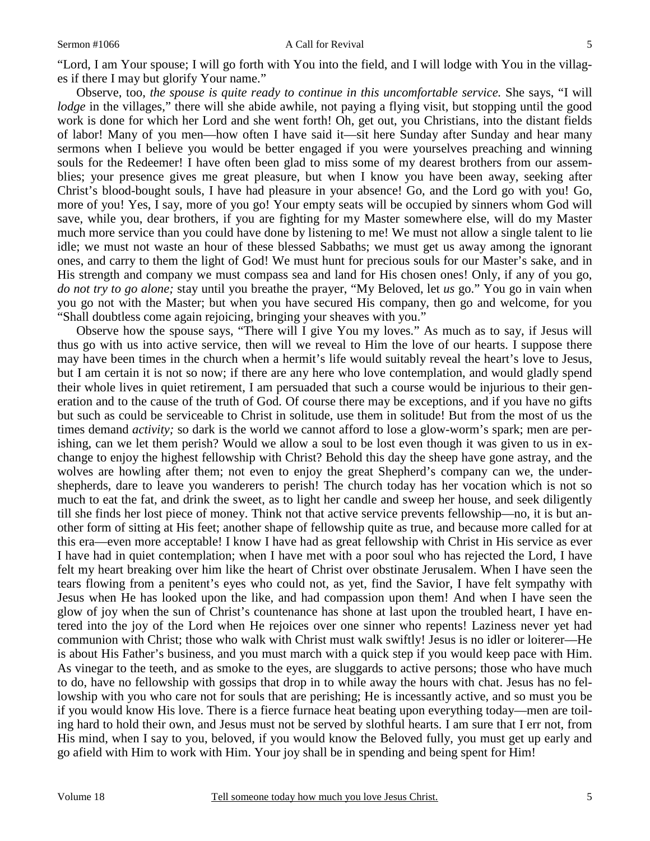### Sermon #1066 A Call for Revival

"Lord, I am Your spouse; I will go forth with You into the field, and I will lodge with You in the villages if there I may but glorify Your name."

Observe, too, *the spouse is quite ready to continue in this uncomfortable service.* She says, "I will *lodge* in the villages," there will she abide awhile, not paying a flying visit, but stopping until the good work is done for which her Lord and she went forth! Oh, get out, you Christians, into the distant fields of labor! Many of you men—how often I have said it—sit here Sunday after Sunday and hear many sermons when I believe you would be better engaged if you were yourselves preaching and winning souls for the Redeemer! I have often been glad to miss some of my dearest brothers from our assemblies; your presence gives me great pleasure, but when I know you have been away, seeking after Christ's blood-bought souls, I have had pleasure in your absence! Go, and the Lord go with you! Go, more of you! Yes, I say, more of you go! Your empty seats will be occupied by sinners whom God will save, while you, dear brothers, if you are fighting for my Master somewhere else, will do my Master much more service than you could have done by listening to me! We must not allow a single talent to lie idle; we must not waste an hour of these blessed Sabbaths; we must get us away among the ignorant ones, and carry to them the light of God! We must hunt for precious souls for our Master's sake, and in His strength and company we must compass sea and land for His chosen ones! Only, if any of you go, *do not try to go alone;* stay until you breathe the prayer, "My Beloved, let *us* go." You go in vain when you go not with the Master; but when you have secured His company, then go and welcome, for you "Shall doubtless come again rejoicing, bringing your sheaves with you."

Observe how the spouse says, "There will I give You my loves." As much as to say, if Jesus will thus go with us into active service, then will we reveal to Him the love of our hearts. I suppose there may have been times in the church when a hermit's life would suitably reveal the heart's love to Jesus, but I am certain it is not so now; if there are any here who love contemplation, and would gladly spend their whole lives in quiet retirement, I am persuaded that such a course would be injurious to their generation and to the cause of the truth of God. Of course there may be exceptions, and if you have no gifts but such as could be serviceable to Christ in solitude, use them in solitude! But from the most of us the times demand *activity*; so dark is the world we cannot afford to lose a glow-worm's spark; men are perishing, can we let them perish? Would we allow a soul to be lost even though it was given to us in exchange to enjoy the highest fellowship with Christ? Behold this day the sheep have gone astray, and the wolves are howling after them; not even to enjoy the great Shepherd's company can we, the undershepherds, dare to leave you wanderers to perish! The church today has her vocation which is not so much to eat the fat, and drink the sweet, as to light her candle and sweep her house, and seek diligently till she finds her lost piece of money. Think not that active service prevents fellowship—no, it is but another form of sitting at His feet; another shape of fellowship quite as true, and because more called for at this era—even more acceptable! I know I have had as great fellowship with Christ in His service as ever I have had in quiet contemplation; when I have met with a poor soul who has rejected the Lord, I have felt my heart breaking over him like the heart of Christ over obstinate Jerusalem. When I have seen the tears flowing from a penitent's eyes who could not, as yet, find the Savior, I have felt sympathy with Jesus when He has looked upon the like, and had compassion upon them! And when I have seen the glow of joy when the sun of Christ's countenance has shone at last upon the troubled heart, I have entered into the joy of the Lord when He rejoices over one sinner who repents! Laziness never yet had communion with Christ; those who walk with Christ must walk swiftly! Jesus is no idler or loiterer—He is about His Father's business, and you must march with a quick step if you would keep pace with Him. As vinegar to the teeth, and as smoke to the eyes, are sluggards to active persons; those who have much to do, have no fellowship with gossips that drop in to while away the hours with chat. Jesus has no fellowship with you who care not for souls that are perishing; He is incessantly active, and so must you be if you would know His love. There is a fierce furnace heat beating upon everything today—men are toiling hard to hold their own, and Jesus must not be served by slothful hearts. I am sure that I err not, from His mind, when I say to you, beloved, if you would know the Beloved fully, you must get up early and go afield with Him to work with Him. Your joy shall be in spending and being spent for Him!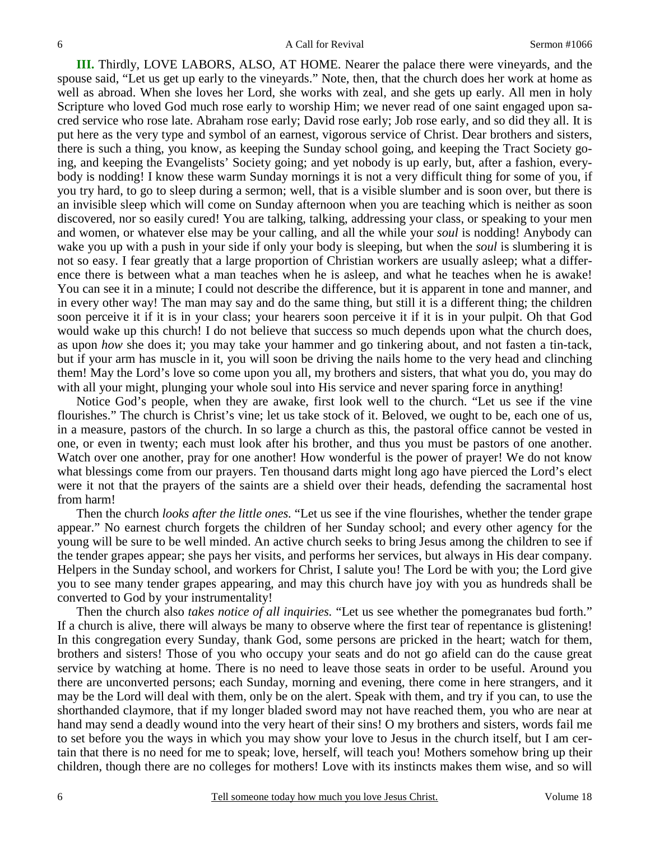**III.** Thirdly, LOVE LABORS, ALSO, AT HOME. Nearer the palace there were vineyards, and the spouse said, "Let us get up early to the vineyards." Note, then, that the church does her work at home as well as abroad. When she loves her Lord, she works with zeal, and she gets up early. All men in holy Scripture who loved God much rose early to worship Him; we never read of one saint engaged upon sacred service who rose late. Abraham rose early; David rose early; Job rose early, and so did they all. It is put here as the very type and symbol of an earnest, vigorous service of Christ. Dear brothers and sisters, there is such a thing, you know, as keeping the Sunday school going, and keeping the Tract Society going, and keeping the Evangelists' Society going; and yet nobody is up early, but, after a fashion, everybody is nodding! I know these warm Sunday mornings it is not a very difficult thing for some of you, if you try hard, to go to sleep during a sermon; well, that is a visible slumber and is soon over, but there is an invisible sleep which will come on Sunday afternoon when you are teaching which is neither as soon discovered, nor so easily cured! You are talking, talking, addressing your class, or speaking to your men and women, or whatever else may be your calling, and all the while your *soul* is nodding! Anybody can wake you up with a push in your side if only your body is sleeping, but when the *soul* is slumbering it is not so easy. I fear greatly that a large proportion of Christian workers are usually asleep; what a difference there is between what a man teaches when he is asleep, and what he teaches when he is awake! You can see it in a minute; I could not describe the difference, but it is apparent in tone and manner, and in every other way! The man may say and do the same thing, but still it is a different thing; the children soon perceive it if it is in your class; your hearers soon perceive it if it is in your pulpit. Oh that God would wake up this church! I do not believe that success so much depends upon what the church does, as upon *how* she does it; you may take your hammer and go tinkering about, and not fasten a tin-tack, but if your arm has muscle in it, you will soon be driving the nails home to the very head and clinching them! May the Lord's love so come upon you all, my brothers and sisters, that what you do, you may do with all your might, plunging your whole soul into His service and never sparing force in anything!

Notice God's people, when they are awake, first look well to the church. "Let us see if the vine flourishes." The church is Christ's vine; let us take stock of it. Beloved, we ought to be, each one of us, in a measure, pastors of the church. In so large a church as this, the pastoral office cannot be vested in one, or even in twenty; each must look after his brother, and thus you must be pastors of one another. Watch over one another, pray for one another! How wonderful is the power of prayer! We do not know what blessings come from our prayers. Ten thousand darts might long ago have pierced the Lord's elect were it not that the prayers of the saints are a shield over their heads, defending the sacramental host from harm!

Then the church *looks after the little ones.* "Let us see if the vine flourishes, whether the tender grape appear." No earnest church forgets the children of her Sunday school; and every other agency for the young will be sure to be well minded. An active church seeks to bring Jesus among the children to see if the tender grapes appear; she pays her visits, and performs her services, but always in His dear company. Helpers in the Sunday school, and workers for Christ, I salute you! The Lord be with you; the Lord give you to see many tender grapes appearing, and may this church have joy with you as hundreds shall be converted to God by your instrumentality!

Then the church also *takes notice of all inquiries.* "Let us see whether the pomegranates bud forth." If a church is alive, there will always be many to observe where the first tear of repentance is glistening! In this congregation every Sunday, thank God, some persons are pricked in the heart; watch for them, brothers and sisters! Those of you who occupy your seats and do not go afield can do the cause great service by watching at home. There is no need to leave those seats in order to be useful. Around you there are unconverted persons; each Sunday, morning and evening, there come in here strangers, and it may be the Lord will deal with them, only be on the alert. Speak with them, and try if you can, to use the shorthanded claymore, that if my longer bladed sword may not have reached them, you who are near at hand may send a deadly wound into the very heart of their sins! O my brothers and sisters, words fail me to set before you the ways in which you may show your love to Jesus in the church itself, but I am certain that there is no need for me to speak; love, herself, will teach you! Mothers somehow bring up their children, though there are no colleges for mothers! Love with its instincts makes them wise, and so will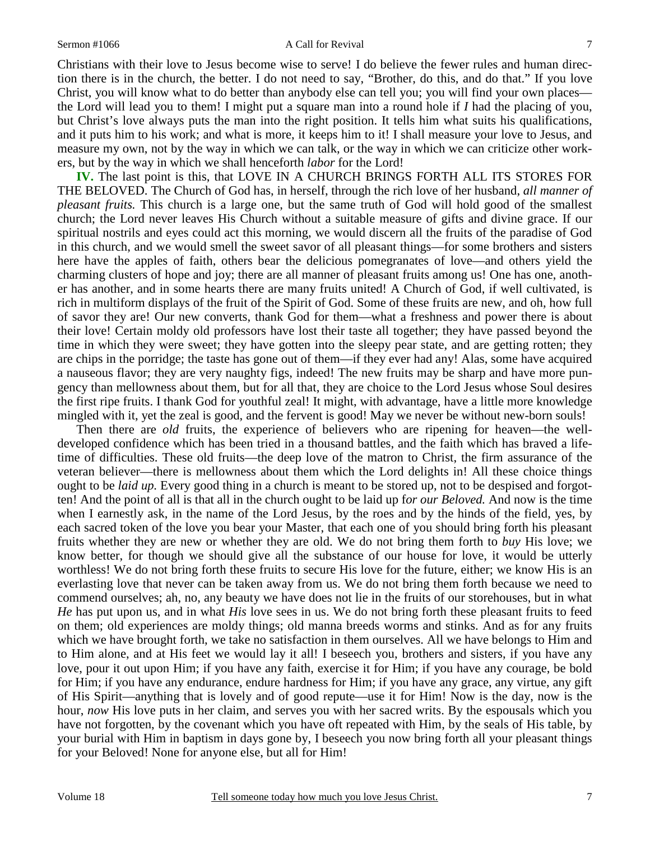### Sermon #1066 A Call for Revival

Christians with their love to Jesus become wise to serve! I do believe the fewer rules and human direction there is in the church, the better. I do not need to say, "Brother, do this, and do that." If you love Christ, you will know what to do better than anybody else can tell you; you will find your own places the Lord will lead you to them! I might put a square man into a round hole if *I* had the placing of you, but Christ's love always puts the man into the right position. It tells him what suits his qualifications, and it puts him to his work; and what is more, it keeps him to it! I shall measure your love to Jesus, and measure my own, not by the way in which we can talk, or the way in which we can criticize other workers, but by the way in which we shall henceforth *labor* for the Lord!

**IV.** The last point is this, that LOVE IN A CHURCH BRINGS FORTH ALL ITS STORES FOR THE BELOVED. The Church of God has, in herself, through the rich love of her husband, *all manner of pleasant fruits.* This church is a large one, but the same truth of God will hold good of the smallest church; the Lord never leaves His Church without a suitable measure of gifts and divine grace. If our spiritual nostrils and eyes could act this morning, we would discern all the fruits of the paradise of God in this church, and we would smell the sweet savor of all pleasant things—for some brothers and sisters here have the apples of faith, others bear the delicious pomegranates of love—and others yield the charming clusters of hope and joy; there are all manner of pleasant fruits among us! One has one, another has another, and in some hearts there are many fruits united! A Church of God, if well cultivated, is rich in multiform displays of the fruit of the Spirit of God. Some of these fruits are new, and oh, how full of savor they are! Our new converts, thank God for them—what a freshness and power there is about their love! Certain moldy old professors have lost their taste all together; they have passed beyond the time in which they were sweet; they have gotten into the sleepy pear state, and are getting rotten; they are chips in the porridge; the taste has gone out of them—if they ever had any! Alas, some have acquired a nauseous flavor; they are very naughty figs, indeed! The new fruits may be sharp and have more pungency than mellowness about them, but for all that, they are choice to the Lord Jesus whose Soul desires the first ripe fruits. I thank God for youthful zeal! It might, with advantage, have a little more knowledge mingled with it, yet the zeal is good, and the fervent is good! May we never be without new-born souls!

Then there are *old* fruits, the experience of believers who are ripening for heaven—the welldeveloped confidence which has been tried in a thousand battles, and the faith which has braved a lifetime of difficulties. These old fruits—the deep love of the matron to Christ, the firm assurance of the veteran believer—there is mellowness about them which the Lord delights in! All these choice things ought to be *laid up*. Every good thing in a church is meant to be stored up, not to be despised and forgotten! And the point of all is that all in the church ought to be laid up f*or our Beloved.* And now is the time when I earnestly ask, in the name of the Lord Jesus, by the roes and by the hinds of the field, yes, by each sacred token of the love you bear your Master, that each one of you should bring forth his pleasant fruits whether they are new or whether they are old. We do not bring them forth to *buy* His love; we know better, for though we should give all the substance of our house for love, it would be utterly worthless! We do not bring forth these fruits to secure His love for the future, either; we know His is an everlasting love that never can be taken away from us. We do not bring them forth because we need to commend ourselves; ah, no, any beauty we have does not lie in the fruits of our storehouses, but in what *He* has put upon us, and in what *His* love sees in us. We do not bring forth these pleasant fruits to feed on them; old experiences are moldy things; old manna breeds worms and stinks. And as for any fruits which we have brought forth, we take no satisfaction in them ourselves. All we have belongs to Him and to Him alone, and at His feet we would lay it all! I beseech you, brothers and sisters, if you have any love, pour it out upon Him; if you have any faith, exercise it for Him; if you have any courage, be bold for Him; if you have any endurance, endure hardness for Him; if you have any grace, any virtue, any gift of His Spirit—anything that is lovely and of good repute—use it for Him! Now is the day, now is the hour, *now* His love puts in her claim, and serves you with her sacred writs. By the espousals which you have not forgotten, by the covenant which you have oft repeated with Him, by the seals of His table, by your burial with Him in baptism in days gone by, I beseech you now bring forth all your pleasant things for your Beloved! None for anyone else, but all for Him!